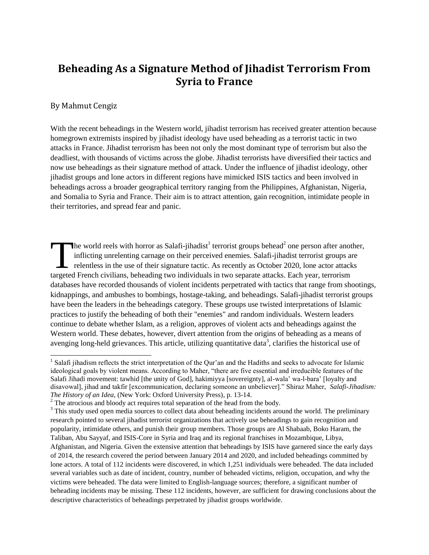# **Beheading As a Signature Method of Jihadist Terrorism From Syria to France**

#### By Mahmut Cengiz

With the recent beheadings in the Western world, jihadist terrorism has received greater attention because homegrown extremists inspired by jihadist ideology have used beheading as a terrorist tactic in two attacks in France. Jihadist terrorism has been not only the most dominant type of terrorism but also the deadliest, with thousands of victims across the globe. Jihadist terrorists have diversified their tactics and now use beheadings as their signature method of attack. Under the influence of jihadist ideology, other jihadist groups and lone actors in different regions have mimicked ISIS tactics and been involved in beheadings across a broader geographical territory ranging from the Philippines, Afghanistan, Nigeria, and Somalia to Syria and France. Their aim is to attract attention, gain recognition, intimidate people in their territories, and spread fear and panic.

he world reels with horror as Salafi-jihadist<sup>1</sup> terrorist groups behead<sup>2</sup> one person after another, inflicting unrelenting carnage on their perceived enemies. Salafi-jihadist terrorist groups are relentless in the use of their signature tactic. As recently as October 2020, lone actor attacks The world reels with horror as Salafi-jihadist<sup>1</sup> terrorist groups behead<sup>2</sup> one person after anot inflicting unrelenting carnage on their perceived enemies. Salafi-jihadist terrorist groups are relentless in the use of th databases have recorded thousands of violent incidents perpetrated with tactics that range from shootings, kidnappings, and ambushes to bombings, hostage-taking, and beheadings. Salafi-jihadist terrorist groups have been the leaders in the beheadings category. These groups use twisted interpretations of Islamic practices to justify the beheading of both their "enemies" and random individuals. Western leaders continue to debate whether Islam, as a religion, approves of violent acts and beheadings against the Western world. These debates, however, divert attention from the origins of beheading as a means of avenging long-held grievances. This article, utilizing quantitative data<sup>3</sup>, clarifies the historical use of

 $\overline{a}$ <sup>1</sup> Salafi jihadism reflects the strict interpretation of the Qur'an and the Hadiths and seeks to advocate for Islamic ideological goals by violent means. According to Maher, "there are five essential and irreducible features of the Salafi Jihadi movement: tawhid [the unity of God], hakimiyya [sovereignty], al-wala' wa-l-bara' [loyalty and disavowal], jihad and takfir [excommunication, declaring someone an unbeliever]." Shiraz Maher, *Salafi-Jihadism: The History of an Idea,* (New York: Oxford University Press), p. 13-14.

<sup>&</sup>lt;sup>2</sup> The atrocious and bloody act requires total separation of the head from the body.

<sup>&</sup>lt;sup>3</sup> This study used open media sources to collect data about beheading incidents around the world. The preliminary research pointed to several jihadist terrorist organizations that actively use beheadings to gain recognition and popularity, intimidate others, and punish their group members. Those groups are Al Shabaab, Boko Haram, the Taliban, Abu Sayyaf, and ISIS-Core in Syria and Iraq and its regional franchises in Mozambique, Libya, Afghanistan, and Nigeria. Given the extensive attention that beheadings by ISIS have garnered since the early days of 2014, the research covered the period between January 2014 and 2020, and included beheadings committed by lone actors. A total of 112 incidents were discovered, in which 1,251 individuals were beheaded. The data included several variables such as date of incident, country, number of beheaded victims, religion, occupation, and why the victims were beheaded. The data were limited to English-language sources; therefore, a significant number of beheading incidents may be missing. These 112 incidents, however, are sufficient for drawing conclusions about the descriptive characteristics of beheadings perpetrated by jihadist groups worldwide.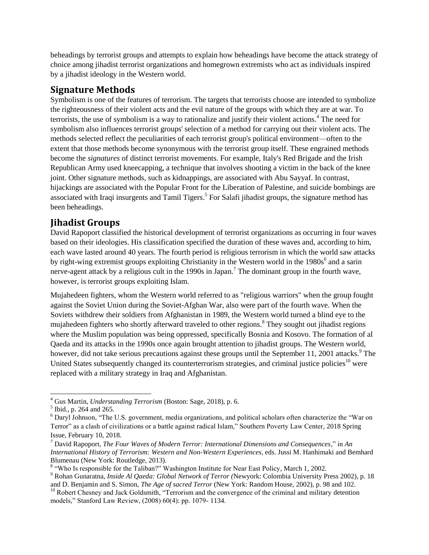beheadings by terrorist groups and attempts to explain how beheadings have become the attack strategy of choice among jihadist terrorist organizations and homegrown extremists who act as individuals inspired by a jihadist ideology in the Western world.

### **Signature Methods**

Symbolism is one of the features of terrorism. The targets that terrorists choose are intended to symbolize the righteousness of their violent acts and the evil nature of the groups with which they are at war. To terrorists, the use of symbolism is a way to rationalize and justify their violent actions.<sup>4</sup> The need for symbolism also influences terrorist groups' selection of a method for carrying out their violent acts. The methods selected reflect the peculiarities of each terrorist group's political environment—often to the extent that those methods become synonymous with the terrorist group itself. These engrained methods become the *signatures* of distinct terrorist movements. For example, Italy's Red Brigade and the Irish Republican Army used kneecapping, a technique that involves shooting a victim in the back of the knee joint. Other signature methods, such as kidnappings, are associated with Abu Sayyaf. In contrast, hijackings are associated with the Popular Front for the Liberation of Palestine, and suicide bombings are associated with Iraqi insurgents and Tamil Tigers.<sup>5</sup> For Salafi jihadist groups, the signature method has been beheadings.

## **Jihadist Groups**

David Rapoport classified the historical development of terrorist organizations as occurring in four waves based on their ideologies. His classification specified the duration of these waves and, according to him, each wave lasted around 40 years. The fourth period is religious terrorism in which the world saw attacks by right-wing extremist groups exploiting Christianity in the Western world in the  $1980s<sup>6</sup>$  and a sarin nerve-agent attack by a religious cult in the 1990s in Japan.<sup>7</sup> The dominant group in the fourth wave, however, is terrorist groups exploiting Islam.

Mujahedeen fighters, whom the Western world referred to as "religious warriors" when the group fought against the Soviet Union during the Soviet-Afghan War, also were part of the fourth wave. When the Soviets withdrew their soldiers from Afghanistan in 1989, the Western world turned a blind eye to the mujahedeen fighters who shortly afterward traveled to other regions.<sup>8</sup> They sought out jihadist regions where the Muslim population was being oppressed, specifically Bosnia and Kosovo. The formation of al Qaeda and its attacks in the 1990s once again brought attention to jihadist groups. The Western world, however, did not take serious precautions against these groups until the September 11, 2001 attacks.<sup>9</sup> The United States subsequently changed its counterterrorism strategies, and criminal justice policies<sup>10</sup> were replaced with a military strategy in Iraq and Afghanistan.

 $\overline{a}$ <sup>4</sup> Gus Martin, *Understanding Terrorism* (Boston: Sage, 2018), p. 6.

<sup>&</sup>lt;sup>5</sup> Ibid., p. 264 and 265.

<sup>6</sup> Daryl Johnson, "The U.S. government, media organizations, and political scholars often characterize the "War on Terror" as a clash of civilizations or a battle against radical Islam," Southern Poverty Law Center*,* 2018 Spring Issue, February 10, 2018.

<sup>7</sup> David Rapoport, *The Four Waves of Modern Terror: International Dimensions and Consequences*," in *An International History of Terrorism: Western and Non-Western Experiences*, eds. Jussi M. Hanhimaki and Bemhard Blumenau (New York: Routledge, 2013).

<sup>8</sup> "Who Is responsible for the Taliban?" Washington Institute for Near East Policy*,* March 1, 2002.

<sup>9</sup> Rohan Gunaratna, *Inside Al Qaeda: Global Network of Terror (*Newyork: Colombia University Press 2002), p. 18 and D. Benjamin and S. Simon, *The Age of sacred Terror* (New York: Random House, 2002), p. 98 and 102.

<sup>&</sup>lt;sup>10</sup> Robert Chesney and Jack Goldsmith, "Terrorism and the convergence of the criminal and military detention models," Stanford Law Review, (2008) 60(4): pp. 1079- 1134.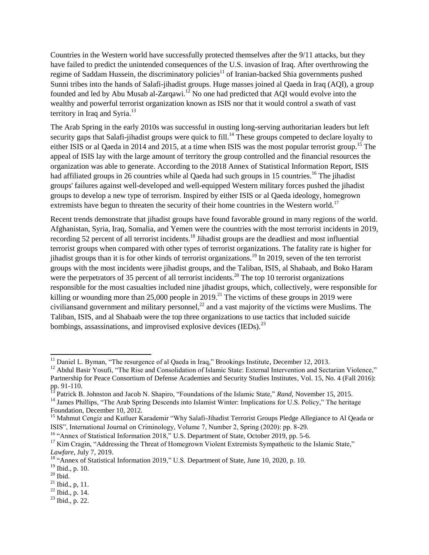Countries in the Western world have successfully protected themselves after the 9/11 attacks, but they have failed to predict the unintended consequences of the U.S. invasion of Iraq. After overthrowing the regime of Saddam Hussein, the discriminatory policies<sup>11</sup> of Iranian-backed Shia governments pushed Sunni tribes into the hands of Salafi-jihadist groups. Huge masses joined al Qaeda in Iraq (AQI), a group founded and led by Abu Musab al-Zarqawi.<sup>12</sup> No one had predicted that AQI would evolve into the wealthy and powerful terrorist organization known as ISIS nor that it would control a swath of vast territory in Iraq and Syria.<sup>13</sup>

The Arab Spring in the early 2010s was successful in ousting long-serving authoritarian leaders but left security gaps that Salafi-jihadist groups were quick to fill.<sup>14</sup> These groups competed to declare loyalty to either ISIS or al Qaeda in 2014 and 2015, at a time when ISIS was the most popular terrorist group.<sup>15</sup> The appeal of ISIS lay with the large amount of territory the group controlled and the financial resources the organization was able to generate. According to the 2018 Annex of Statistical Information Report, ISIS had affiliated groups in 26 countries while al Qaeda had such groups in 15 countries.<sup>16</sup> The jihadist groups' failures against well-developed and well-equipped Western military forces pushed the jihadist groups to develop a new type of terrorism. Inspired by either ISIS or al Qaeda ideology, homegrown extremists have begun to threaten the security of their home countries in the Western world.<sup>17</sup>

Recent trends demonstrate that jihadist groups have found favorable ground in many regions of the world. Afghanistan, Syria, Iraq, Somalia, and Yemen were the countries with the most terrorist incidents in 2019, recording 52 percent of all terrorist incidents.<sup>18</sup> Jihadist groups are the deadliest and most influential terrorist groups when compared with other types of terrorist organizations. The fatality rate is higher for jihadist groups than it is for other kinds of terrorist organizations.<sup>19</sup> In 2019, seven of the ten terrorist groups with the most incidents were jihadist groups, and the Taliban, ISIS, al Shabaab, and Boko Haram were the perpetrators of 35 percent of all terrorist incidents.<sup>20</sup> The top 10 terrorist organizations responsible for the most casualties included nine jihadist groups, which, collectively, were responsible for killing or wounding more than 25,000 people in 2019.<sup>21</sup> The victims of these groups in 2019 were civiliansand government and military personnel,<sup>22</sup> and a vast majority of the victims were Muslims. The Taliban, ISIS, and al Shabaab were the top three organizations to use tactics that included suicide bombings, assassinations, and improvised explosive devices  $(IEDs).^{23}$ 

 $\overline{a}$ <sup>11</sup> Daniel L. Byman, "The resurgence of al Qaeda in Iraq," Brookings Institute*,* December 12, 2013.

<sup>&</sup>lt;sup>12</sup> Abdul Basir Yosufi, "The Rise and Consolidation of Islamic State: External Intervention and Sectarian Violence," Partnership for Peace Consortium of Defense Academies and Security Studies Institutes*,* Vol. 15, No. 4 (Fall 2016): pp. 91-110.

<sup>13</sup> Patrick B. Johnston and Jacob N. Shapiro, "Foundations of the Islamic State," *Rand,* November 15, 2015.

<sup>&</sup>lt;sup>14</sup> James Phillips, "The Arab Spring Descends into Islamist Winter: Implications for U.S. Policy," The heritage Foundation*,* December 10, 2012.

<sup>&</sup>lt;sup>15</sup> Mahmut Cengiz and Kutluer Karademir "Why Salafi-Jihadist Terrorist Groups Pledge Allegiance to Al Qeada or ISIS", International Journal on Criminology, Volume 7, Number 2, Spring (2020): pp. 8-29.

<sup>&</sup>lt;sup>16</sup> "Annex of Statistical Information 2018," U.S. Department of State, October 2019, pp. 5-6.

<sup>&</sup>lt;sup>17</sup> Kim Cragin, "Addressing the Threat of Homegrown Violent Extremists Sympathetic to the Islamic State," *Lawfare,* July 7, 2019.

<sup>&</sup>lt;sup>18</sup> "Annex of Statistical Information 2019," U.S. Department of State, June 10, 2020, p. 10.

<sup>19</sup> Ibid., p. 10.

 $20$  Ibid.

 $^{21}$  Ibid., p, 11.

 $^{22}$  Ibid., p. 14.

 $23$  Ibid., p. 22.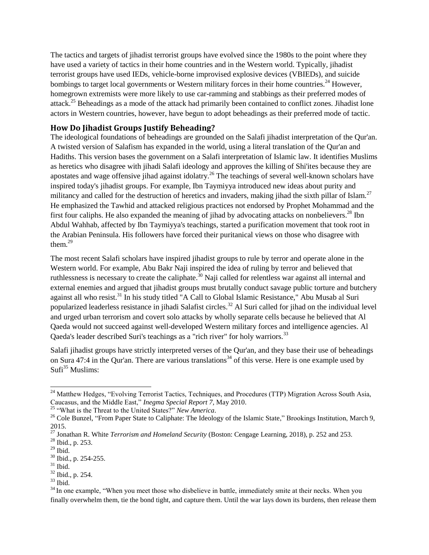The tactics and targets of jihadist terrorist groups have evolved since the 1980s to the point where they have used a variety of tactics in their home countries and in the Western world. Typically, jihadist terrorist groups have used IEDs, vehicle-borne improvised explosive devices (VBIEDs), and suicide bombings to target local governments or Western military forces in their home countries.<sup>24</sup> However, homegrown extremists were more likely to use car-ramming and stabbings as their preferred modes of attack.<sup>25</sup> Beheadings as a mode of the attack had primarily been contained to conflict zones. Jihadist lone actors in Western countries, however, have begun to adopt beheadings as their preferred mode of tactic.

#### **How Do Jihadist Groups Justify Beheading?**

The ideological foundations of beheadings are grounded on the Salafi jihadist interpretation of the Qur'an. A twisted version of Salafism has expanded in the world, using a literal translation of the Qur'an and Hadiths. This version bases the government on a Salafi interpretation of Islamic law. It identifies Muslims as heretics who disagree with jihadi Salafi ideology and approves the killing of Shi'ites because they are apostates and wage offensive jihad against idolatry.<sup>26</sup> The teachings of several well-known scholars have inspired today's jihadist groups. For example, Ibn Taymiyya introduced new ideas about purity and militancy and called for the destruction of heretics and invaders, making jihad the sixth pillar of Islam.<sup>27</sup> He emphasized the Tawhid and attacked religious practices not endorsed by Prophet Mohammad and the first four caliphs. He also expanded the meaning of jihad by advocating attacks on nonbelievers.<sup>28</sup> Ibn Abdul Wahhab, affected by Ibn Taymiyya's teachings, started a purification movement that took root in the Arabian Peninsula. His followers have forced their puritanical views on those who disagree with them. $^{29}$ 

The most recent Salafi scholars have inspired jihadist groups to rule by terror and operate alone in the Western world. For example, Abu Bakr Naji inspired the idea of ruling by terror and believed that ruthlessness is necessary to create the caliphate.<sup>30</sup> Naji called for relentless war against all internal and external enemies and argued that jihadist groups must brutally conduct savage public torture and butchery against all who resist.<sup>31</sup> In his study titled "A Call to Global Islamic Resistance," Abu Musab al Suri popularized leaderless resistance in jihadi Salafist circles.<sup>32</sup> Al Suri called for jihad on the individual level and urged urban terrorism and covert solo attacks by wholly separate cells because he believed that Al Qaeda would not succeed against well-developed Western military forces and intelligence agencies. Al Qaeda's leader described Suri's teachings as a "rich river" for holy warriors.<sup>33</sup>

Salafi jihadist groups have strictly interpreted verses of the Qur'an, and they base their use of beheadings on Sura 47:4 in the Qur'an. There are various translations<sup>34</sup> of this verse. Here is one example used by  $Sufi<sup>35</sup>$  Muslims:

 $\overline{a}$ 

 $33$  Ibid.

<sup>&</sup>lt;sup>24</sup> Matthew Hedges, "Evolving Terrorist Tactics, Techniques, and Procedures (TTP) Migration Across South Asia, Caucasus, and the Middle East," *Inegma Special Report 7,* May 2010.

<sup>25</sup> "What is the Threat to the United States?" *New America*.

<sup>&</sup>lt;sup>26</sup> Cole Bunzel, "From Paper State to Caliphate: The Ideology of the Islamic State," Brookings Institution, March 9, 2015.

<sup>27</sup> Jonathan R. White *Terrorism and Homeland Security* (Boston: Cengage Learning, 2018), p. 252 and 253.

<sup>28</sup> Ibid., p. 253.

 $29$  Ibid.

<sup>30</sup> Ibid., p. 254-255.

 $31$  Ibid.

<sup>32</sup> Ibid., p. 254.

<sup>&</sup>lt;sup>34</sup> In one example, "When you meet those who disbelieve in battle, immediately smite at their necks. When you finally overwhelm them, tie the bond tight, and capture them. Until the war lays down its burdens, then release them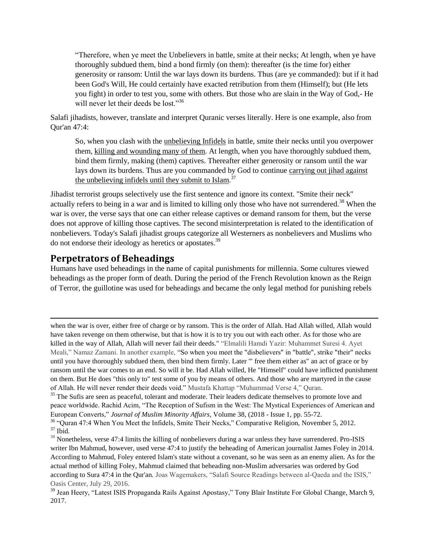"Therefore, when ye meet the Unbelievers in battle, smite at their necks; At length, when ye have thoroughly subdued them, bind a bond firmly (on them): thereafter (is the time for) either generosity or ransom: Until the war lays down its burdens. Thus (are ye commanded): but if it had been God's Will, He could certainly have exacted retribution from them (Himself); but (He lets you fight) in order to test you, some with others. But those who are slain in the Way of God,- He will never let their deeds be lost."<sup>36</sup>

Salafi jihadists, however, translate and interpret Quranic verses literally. Here is one example, also from Qur'an 47:4:

So, when you clash with the unbelieving Infidels in battle, smite their necks until you overpower them, killing and wounding many of them. At length, when you have thoroughly subdued them, bind them firmly, making (them) captives. Thereafter either generosity or ransom until the war lays down its burdens. Thus are you commanded by God to continue carrying out jihad against the unbelieving infidels until they submit to Islam.<sup>37</sup>

Jihadist terrorist groups selectively use the first sentence and ignore its context. "Smite their neck" actually refers to being in a war and is limited to killing only those who have not surrendered.<sup>38</sup> When the war is over, the verse says that one can either release captives or demand ransom for them, but the verse does not approve of killing those captives. The second misinterpretation is related to the identification of nonbelievers. Today's Salafi jihadist groups categorize all Westerners as nonbelievers and Muslims who do not endorse their ideology as heretics or apostates.<sup>39</sup>

#### **Perpetrators of Beheadings**

 $\overline{a}$ 

Humans have used beheadings in the name of capital punishments for millennia. Some cultures viewed beheadings as the proper form of death. During the period of the French Revolution known as the Reign of Terror, the guillotine was used for beheadings and became the only legal method for punishing rebels

when the war is over, either free of charge or by ransom. This is the order of Allah. Had Allah willed, Allah would have taken revenge on them otherwise, but that is how it is to try you out with each other. As for those who are killed in the way of Allah, Allah will never fail their deeds." "Elmalili Hamdi Yazir: Muhammet Suresi 4. Ayet Meali," Namaz Zamani. In another example, "So when you meet the "disbelievers" in "battle", strike "their" necks until you have thoroughly subdued them, then bind them firmly. Later '" free them either as" an act of grace or by ransom until the war comes to an end. So will it be. Had Allah willed, He "Himself" could have inflicted punishment on them. But He does "this only to" test some of you by means of others. And those who are martyred in the cause of Allah. He will never render their deeds void." Mustafa Khattap "Muhammad Verse 4," Quran.

<sup>&</sup>lt;sup>35</sup> The Sufis are seen as peaceful, tolerant and moderate. Their leaders dedicate themselves to promote love and peace worldwide. Rachid Acim, "The Reception of Sufism in the West: The Mystical Experiences of American and European Converts," *[Journal of Muslim Minority Affairs](https://www.tandfonline.com/toc/cjmm20/current)*, Volume 38, (2018 - [Issue 1,](https://www.tandfonline.com/toc/cjmm20/38/1) pp. 55-72.

<sup>&</sup>lt;sup>36</sup> "Ouran 47:4 When You Meet the Infidels, Smite Their Necks," Comparative Religion, November 5, 2012. <sup>37</sup> Ibid.

 $38$  Nonetheless, verse 47:4 limits the killing of nonbelievers during a war unless they have surrendered. Pro-ISIS writer Ibn Mahmud, however, used verse 47:4 to justify the beheading of American journalist James Foley in 2014. According to Mahmud, Foley entered Islam's state without a covenant, so he was seen as an enemy alien. As for the actual method of killing Foley, Mahmud claimed that beheading non-Muslim adversaries was ordered by God according to Sura 47:4 in the Qur'an. Joas Wagemakers, "Salafi Source Readings between al-Qaeda and the ISIS," Oasis Center, July 29, 2016.

<sup>39</sup> Jean Heery, "Latest ISIS Propaganda Rails Against Apostasy," Tony Blair Institute For Global Change*,* March 9, 2017.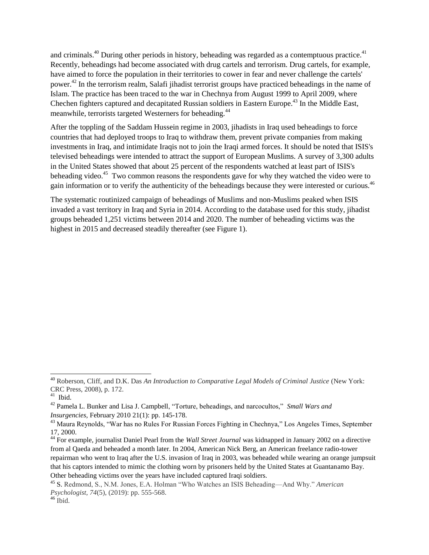and criminals.<sup>40</sup> During other periods in history, beheading was regarded as a contemptuous practice.<sup>41</sup> Recently, beheadings had become associated with drug cartels and terrorism. Drug cartels, for example, have aimed to force the population in their territories to cower in fear and never challenge the cartels' power.<sup>42</sup> In the terrorism realm, Salafi jihadist terrorist groups have practiced beheadings in the name of Islam. The practice has been traced to the war in Chechnya from August 1999 to April 2009, where Chechen fighters captured and decapitated Russian soldiers in Eastern Europe.<sup>43</sup> In the Middle East, meanwhile, terrorists targeted Westerners for beheading.<sup>44</sup>

After the toppling of the Saddam Hussein regime in 2003, jihadists in Iraq used beheadings to force countries that had deployed troops to Iraq to withdraw them, prevent private companies from making investments in Iraq, and intimidate Iraqis not to join the Iraqi armed forces. It should be noted that ISIS's televised beheadings were intended to attract the support of European Muslims. A survey of 3,300 adults in the United States showed that about 25 percent of the respondents watched at least part of ISIS's beheading video.<sup>45</sup> Two common reasons the respondents gave for why they watched the video were to gain information or to verify the authenticity of the beheadings because they were interested or curious.<sup>46</sup>

The systematic routinized campaign of beheadings of Muslims and non-Muslims peaked when ISIS invaded a vast territory in Iraq and Syria in 2014. According to the database used for this study, jihadist groups beheaded 1,251 victims between 2014 and 2020. The number of beheading victims was the highest in 2015 and decreased steadily thereafter (see Figure 1).

 $\overline{a}$ 

<sup>40</sup> Roberson, Cliff, and D.K. Das *An Introduction to Comparative Legal Models of Criminal Justice* (New York: CRC Press, 2008), p. 172.

 $41$  Ibid.

<sup>42</sup> [Pamela L. Bunker](https://www.tandfonline.com/author/Bunker%2C+Pamela+L) and [Lisa J. Campbell,](https://www.tandfonline.com/author/Campbell%2C+Lisa+J) "Torture, beheadings, and narcocultos," *Small Wars and Insurgencies,* February 2010 21(1): pp. 145-178.

<sup>43</sup> Maura Reynolds, "War has no Rules For Russian Forces Fighting in Chechnya," Los Angeles Times, September 17, 2000.

<sup>44</sup> For example, journalist Daniel Pearl from the *Wall Street Journal* was kidnapped in January 2002 on a directive from al Qaeda and beheaded a month later. In 2004, American Nick Berg, an American freelance radio-tower repairman who went to Iraq after the U.S. invasion of Iraq in 2003, was beheaded while wearing an orange jumpsuit that his captors intended to mimic the clothing worn by prisoners held by the United States at Guantanamo Bay. Other beheading victims over the years have included captured Iraqi soldiers.

<sup>45</sup> S. Redmond, S., N.M. Jones, E.A. Holman "Who Watches an ISIS Beheading—And Why." *American Psychologist, 74*(5), (2019): pp. 555-568.

 $^{46}$  Ibid.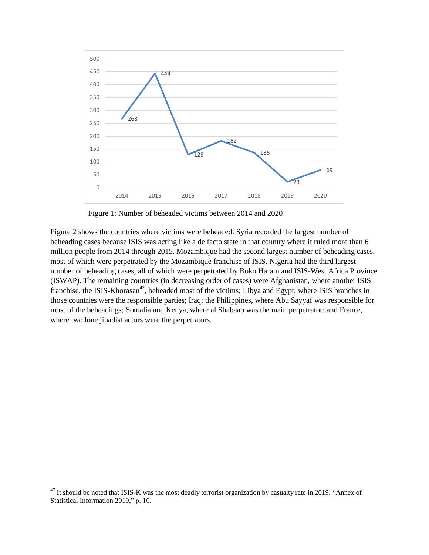

Figure 1: Number of beheaded victims between 2014 and 2020

Figure 2 shows the countries where victims were beheaded. Syria recorded the largest number of beheading cases because ISIS was acting like a de facto state in that country where it ruled more than 6 million people from 2014 through 2015. Mozambique had the second largest number of beheading cases, most of which were perpetrated by the Mozambique franchise of ISIS. Nigeria had the third largest number of beheading cases, all of which were perpetrated by Boko Haram and ISIS-West Africa Province (ISWAP). The remaining countries (in decreasing order of cases) were Afghanistan, where another ISIS franchise, the ISIS-Khorasan<sup>47</sup>, beheaded most of the victims; Libya and Egypt, where ISIS branches in those countries were the responsible parties; Iraq; the Philippines, where Abu Sayyaf was responsible for most of the beheadings; Somalia and Kenya, where al Shabaab was the main perpetrator; and France, where two lone jihadist actors were the perpetrators.

 $\overline{a}$ 

 It should be noted that ISIS-K was the most deadly terrorist organization by casualty rate in 2019. "Annex of Statistical Information 2019," p. 10.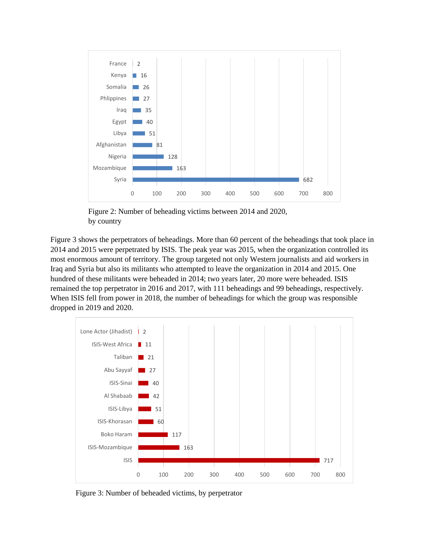

Figure 2: Number of beheading victims between 2014 and 2020, by country

Figure 3 shows the perpetrators of beheadings. More than 60 percent of the beheadings that took place in 2014 and 2015 were perpetrated by ISIS. The peak year was 2015, when the organization controlled its most enormous amount of territory. The group targeted not only Western journalists and aid workers in Iraq and Syria but also its militants who attempted to leave the organization in 2014 and 2015. One hundred of these militants were beheaded in 2014; two years later, 20 more were beheaded. ISIS remained the top perpetrator in 2016 and 2017, with 111 beheadings and 99 beheadings, respectively. When ISIS fell from power in 2018, the number of beheadings for which the group was responsible dropped in 2019 and 2020.



Figure 3: Number of beheaded victims, by perpetrator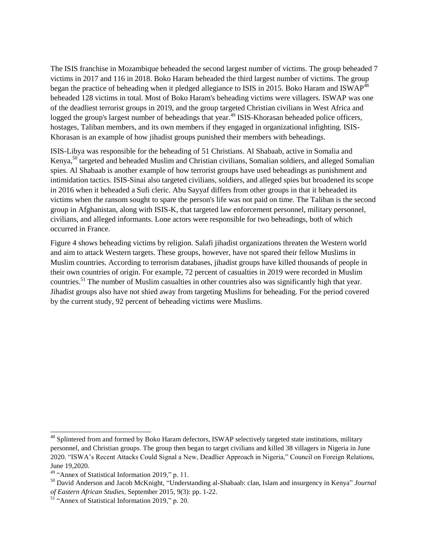The ISIS franchise in Mozambique beheaded the second largest number of victims. The group beheaded 7 victims in 2017 and 116 in 2018. Boko Haram beheaded the third largest number of victims. The group began the practice of beheading when it pledged allegiance to ISIS in 2015. Boko Haram and ISWAP<sup>48</sup> beheaded 128 victims in total. Most of Boko Haram's beheading victims were villagers. ISWAP was one of the deadliest terrorist groups in 2019, and the group targeted Christian civilians in West Africa and logged the group's largest number of beheadings that year.<sup>49</sup> ISIS-Khorasan beheaded police officers, hostages, Taliban members, and its own members if they engaged in organizational infighting. ISIS-Khorasan is an example of how jihadist groups punished their members with beheadings.

ISIS-Libya was responsible for the beheading of 51 Christians. Al Shabaab, active in Somalia and Kenya,<sup>50</sup> targeted and beheaded Muslim and Christian civilians, Somalian soldiers, and alleged Somalian spies. Al Shabaab is another example of how terrorist groups have used beheadings as punishment and intimidation tactics. ISIS-Sinai also targeted civilians, soldiers, and alleged spies but broadened its scope in 2016 when it beheaded a Sufi cleric. Abu Sayyaf differs from other groups in that it beheaded its victims when the ransom sought to spare the person's life was not paid on time. The Taliban is the second group in Afghanistan, along with ISIS-K, that targeted law enforcement personnel, military personnel, civilians, and alleged informants. Lone actors were responsible for two beheadings, both of which occurred in France.

Figure 4 shows beheading victims by religion. Salafi jihadist organizations threaten the Western world and aim to attack Western targets. These groups, however, have not spared their fellow Muslims in Muslim countries. According to terrorism databases, jihadist groups have killed thousands of people in their own countries of origin. For example, 72 percent of casualties in 2019 were recorded in Muslim countries.<sup>51</sup> The number of Muslim casualties in other countries also was significantly high that year. Jihadist groups also have not shied away from targeting Muslims for beheading. For the period covered by the current study, 92 percent of beheading victims were Muslims.

 $\overline{a}$ 

<sup>&</sup>lt;sup>48</sup> Splintered from and formed by Boko Haram defectors, ISWAP selectively targeted state institutions, military personnel, and Christian groups. The group then began to target civilians and killed 38 villagers in Nigeria in June 2020. "ISWA's Recent Attacks Could Signal a New, Deadlier Approach in Nigeria," Council on Foreign Relations, June 19,2020.

<sup>49</sup> "Annex of Statistical Information 2019," p. 11.

<sup>50</sup> [David Anderson](https://www.researchgate.net/profile/David_Anderson157?_sg%5B0%5D=l4end7VyilherAzuxu-zSDMqo935T2PvACxDLtBXDMgiCu6f4E7PKqV653SlMW5QHOeU6Xc.tXz-PmFfvbuC3-sS95yg3MV0LDU67JiBnNSBm2nRAu-olIutelR4UM_mTuhaN-W0wRNpudd8aAKQ4tVtKNsoPg&_sg%5B1%5D=esOG9LAf-Pyg9rlJ8K4VgHJuLtOcHfel9MtsP8ydoIMLJV5Sd8ximkFkXQkBSFeYg3SEcb8.CRJghVn58Zj_GG59C9kG2IMDO_JNi0O3hHZUPAc2pbh195iqXphmGcLlPK62F_GYQF32B-BhLIDf7C86wr8Yzw) and [Jacob McKnight,](https://www.researchgate.net/scientific-contributions/Jacob-McKnight-2067932198?_sg%5B0%5D=l4end7VyilherAzuxu-zSDMqo935T2PvACxDLtBXDMgiCu6f4E7PKqV653SlMW5QHOeU6Xc.tXz-PmFfvbuC3-sS95yg3MV0LDU67JiBnNSBm2nRAu-olIutelR4UM_mTuhaN-W0wRNpudd8aAKQ4tVtKNsoPg&_sg%5B1%5D=esOG9LAf-Pyg9rlJ8K4VgHJuLtOcHfel9MtsP8ydoIMLJV5Sd8ximkFkXQkBSFeYg3SEcb8.CRJghVn58Zj_GG59C9kG2IMDO_JNi0O3hHZUPAc2pbh195iqXphmGcLlPK62F_GYQF32B-BhLIDf7C86wr8Yzw) "Understanding al-Shabaab: clan, Islam and insurgency in Kenya" *Journal of Eastern African Studies,* September 2015, 9(3): pp. 1-22.

<sup>51</sup> "Annex of Statistical Information 2019," p. 20.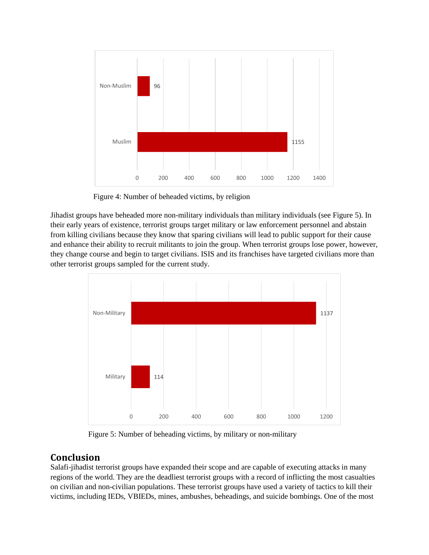

Figure 4: Number of beheaded victims, by religion

Jihadist groups have beheaded more non-military individuals than military individuals (see Figure 5). In their early years of existence, terrorist groups target military or law enforcement personnel and abstain from killing civilians because they know that sparing civilians will lead to public support for their cause and enhance their ability to recruit militants to join the group. When terrorist groups lose power, however, they change course and begin to target civilians. ISIS and its franchises have targeted civilians more than other terrorist groups sampled for the current study.



Figure 5: Number of beheading victims, by military or non-military

## **Conclusion**

Salafi-jihadist terrorist groups have expanded their scope and are capable of executing attacks in many regions of the world. They are the deadliest terrorist groups with a record of inflicting the most casualties on civilian and non-civilian populations. These terrorist groups have used a variety of tactics to kill their victims, including IEDs, VBIEDs, mines, ambushes, beheadings, and suicide bombings. One of the most